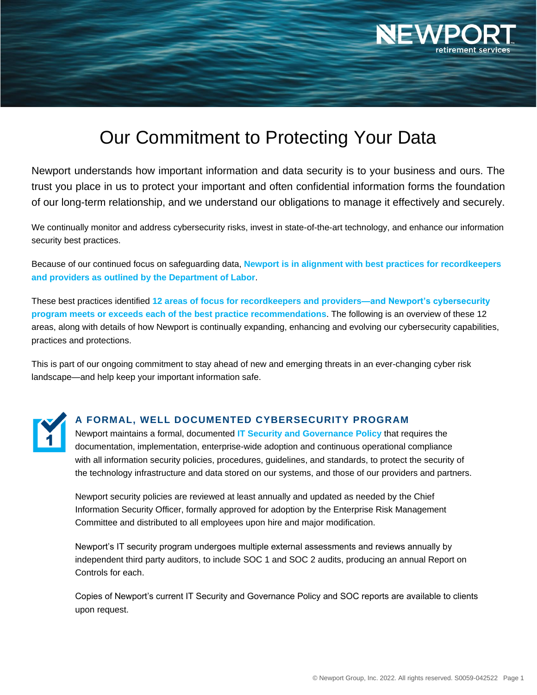

# Our Commitment to Protecting Your Data

Newport understands how important information and data security is to your business and ours. The trust you place in us to protect your important and often confidential information forms the foundation of our long-term relationship, and we understand our obligations to manage it effectively and securely.

We continually monitor and address cybersecurity risks, invest in state-of-the-art technology, and enhance our information security best practices.

Because of our continued focus on safeguarding data, **Newport is in alignment with best practices for recordkeepers and providers as outlined by the Department of Labor**.

These best practices identified **12 areas of focus for recordkeepers and providers—and Newport's cybersecurity program meets or exceeds each of the best practice recommendations**. The following is an overview of these 12 areas, along with details of how Newport is continually expanding, enhancing and evolving our cybersecurity capabilities, practices and protections.

This is part of our ongoing commitment to stay ahead of new and emerging threats in an ever-changing cyber risk landscape—and help keep your important information safe.

#### **A FORMAL, WELL DOCUMENTED CYBERSECURITY PROGRAM**

Newport maintains a formal, documented **IT Security and Governance Policy** that requires the documentation, implementation, enterprise-wide adoption and continuous operational compliance with all information security policies, procedures, guidelines, and standards, to protect the security of the technology infrastructure and data stored on our systems, and those of our providers and partners.

Newport security policies are reviewed at least annually and updated as needed by the Chief Information Security Officer, formally approved for adoption by the Enterprise Risk Management Committee and distributed to all employees upon hire and major modification.

Newport's IT security program undergoes multiple external assessments and reviews annually by independent third party auditors, to include SOC 1 and SOC 2 audits, producing an annual Report on Controls for each.

Copies of Newport's current IT Security and Governance Policy and SOC reports are available to clients upon request.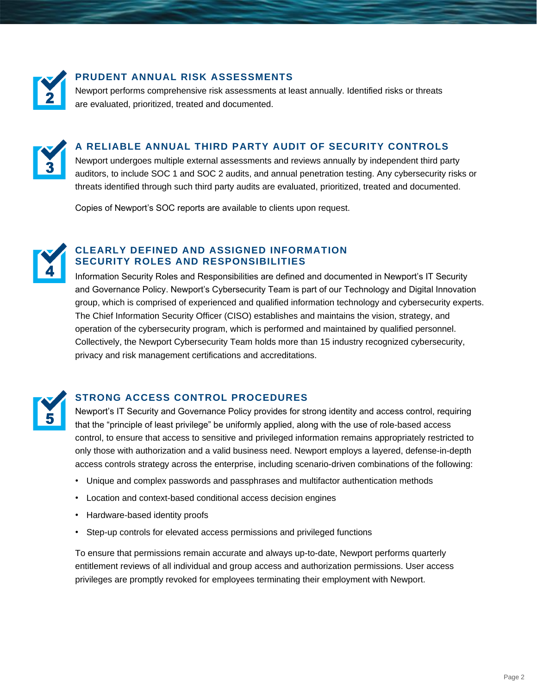

# **PRUDENT ANNUAL RISK ASSESSMENTS**

Newport performs comprehensive risk assessments at least annually. Identified risks or threats are evaluated, prioritized, treated and documented.



# **A RELIABLE ANNUAL THIRD PARTY AUDIT OF SECURITY CONTROLS**

Newport undergoes multiple external assessments and reviews annually by independent third party auditors, to include SOC 1 and SOC 2 audits, and annual penetration testing. Any cybersecurity risks or threats identified through such third party audits are evaluated, prioritized, treated and documented.

Copies of Newport's SOC reports are available to clients upon request.



### **CLEARLY DEFINED AND ASSIGNED INFORMATION SECURITY ROLES AND RESPONSIBILITIES**

Information Security Roles and Responsibilities are defined and documented in Newport's IT Security and Governance Policy. Newport's Cybersecurity Team is part of our Technology and Digital Innovation group, which is comprised of experienced and qualified information technology and cybersecurity experts. The Chief Information Security Officer (CISO) establishes and maintains the vision, strategy, and operation of the cybersecurity program, which is performed and maintained by qualified personnel. Collectively, the Newport Cybersecurity Team holds more than 15 industry recognized cybersecurity, privacy and risk management certifications and accreditations.



# **STRONG ACCESS CONTROL PROCEDURES**

Newport's IT Security and Governance Policy provides for strong identity and access control, requiring that the "principle of least privilege" be uniformly applied, along with the use of role-based access control, to ensure that access to sensitive and privileged information remains appropriately restricted to only those with authorization and a valid business need. Newport employs a layered, defense-in-depth access controls strategy across the enterprise, including scenario-driven combinations of the following:

- Unique and complex passwords and passphrases and multifactor authentication methods
- Location and context-based conditional access decision engines
- Hardware-based identity proofs
- Step-up controls for elevated access permissions and privileged functions

To ensure that permissions remain accurate and always up-to-date, Newport performs quarterly entitlement reviews of all individual and group access and authorization permissions. User access privileges are promptly revoked for employees terminating their employment with Newport.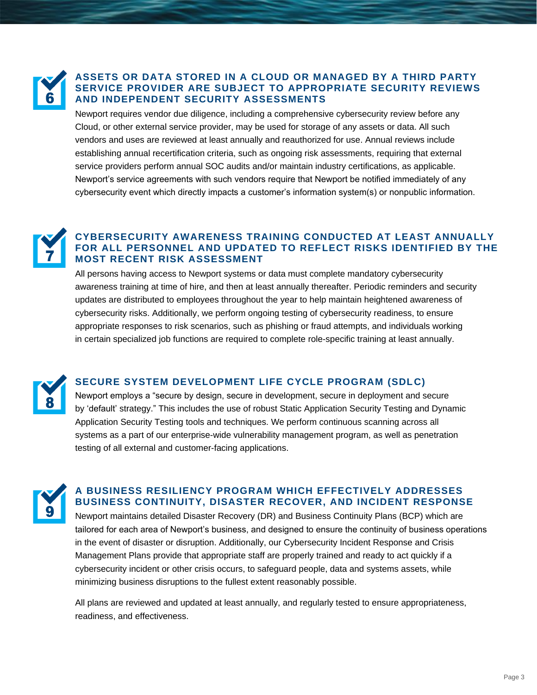

#### **ASSETS OR DATA STORED IN A CLOUD OR MANAGED BY A THIRD PARTY SERVICE PROVIDER ARE SUBJECT TO APPROPRIATE SECURITY REVIEWS AND INDEPENDENT SECURITY ASSESSMENTS**

Newport requires vendor due diligence, including a comprehensive cybersecurity review before any Cloud, or other external service provider, may be used for storage of any assets or data. All such vendors and uses are reviewed at least annually and reauthorized for use. Annual reviews include establishing annual recertification criteria, such as ongoing risk assessments, requiring that external service providers perform annual SOC audits and/or maintain industry certifications, as applicable. Newport's service agreements with such vendors require that Newport be notified immediately of any cybersecurity event which directly impacts a customer's information system(s) or nonpublic information.

#### **CYBERSECURITY AWARENESS TRAINING CONDUCTED AT LEAST ANNUALLY FOR ALL PERSONNEL AND UPDATED TO REFLECT RISKS IDENTIFIED BY THE MOST RECENT RISK ASSESSMENT**

All persons having access to Newport systems or data must complete mandatory cybersecurity awareness training at time of hire, and then at least annually thereafter. Periodic reminders and security updates are distributed to employees throughout the year to help maintain heightened awareness of cybersecurity risks. Additionally, we perform ongoing testing of cybersecurity readiness, to ensure appropriate responses to risk scenarios, such as phishing or fraud attempts, and individuals working in certain specialized job functions are required to complete role-specific training at least annually.



# **SECURE SYSTEM DEVELOPMENT LIFE CYCLE PROGRAM (SDLC)**

Newport employs a "secure by design, secure in development, secure in deployment and secure by 'default' strategy." This includes the use of robust Static Application Security Testing and Dynamic Application Security Testing tools and techniques. We perform continuous scanning across all systems as a part of our enterprise-wide vulnerability management program, as well as penetration testing of all external and customer-facing applications.



#### **A BUSINESS RESILIENCY PROGRAM WHICH EFFECTIVELY ADDRESSES BUSINESS CONTINUITY, DISASTER RECOVER, AND INCIDENT RESPONSE**

Newport maintains detailed Disaster Recovery (DR) and Business Continuity Plans (BCP) which are tailored for each area of Newport's business, and designed to ensure the continuity of business operations in the event of disaster or disruption. Additionally, our Cybersecurity Incident Response and Crisis Management Plans provide that appropriate staff are properly trained and ready to act quickly if a cybersecurity incident or other crisis occurs, to safeguard people, data and systems assets, while minimizing business disruptions to the fullest extent reasonably possible.

All plans are reviewed and updated at least annually, and regularly tested to ensure appropriateness, readiness, and effectiveness.